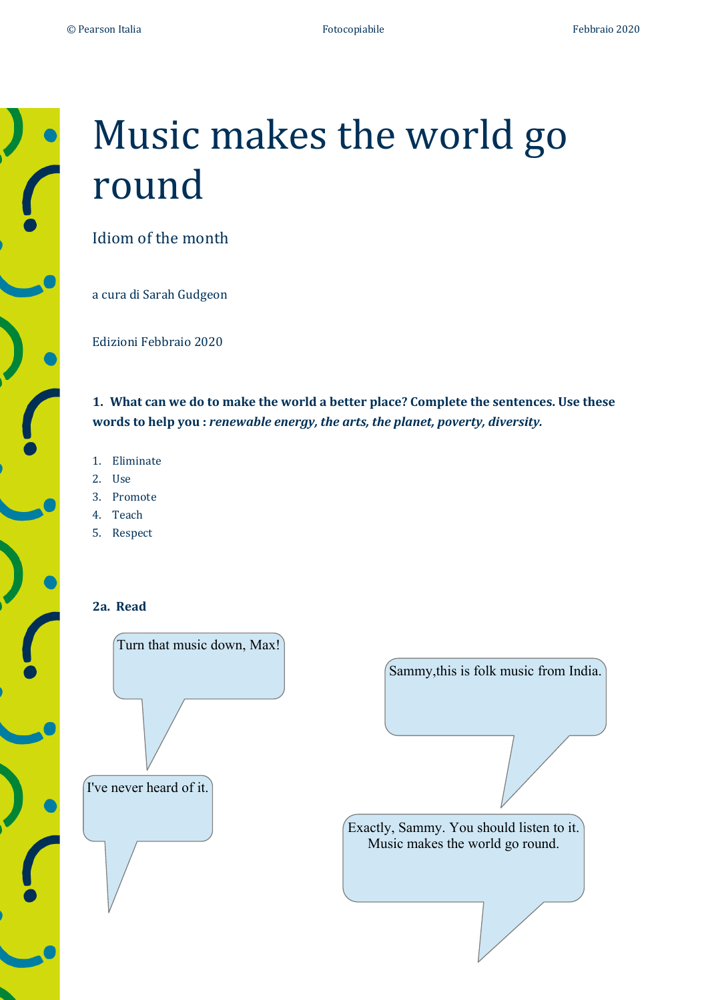

# Music makes the world go round

Idiom of the month

a cura di Sarah Gudgeon

Edizioni Febbraio 2020

1. What can we do to make the world a better place? Complete the sentences. Use these words to help you : *renewable energy, the arts, the planet, poverty, diversity.* 

- 1. Eliminate
- 2. Use
- 3. Promote
- 4. Teach
- 5. Respect

## **2a. Read**

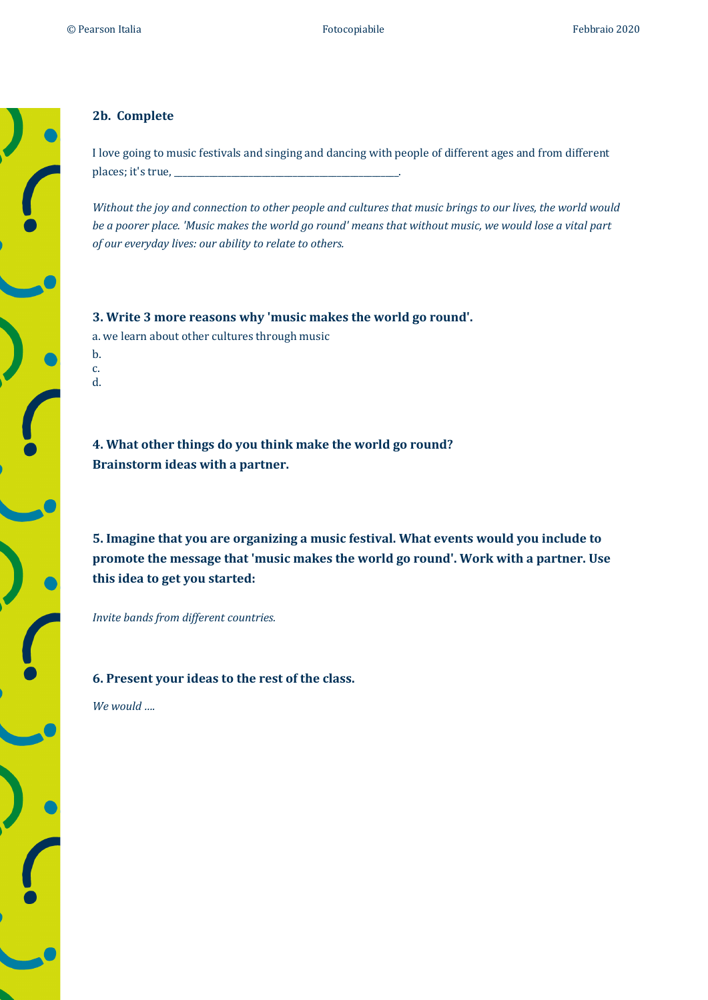## **2b. Complete**

I love going to music festivals and singing and dancing with people of different ages and from different places; it's true,

*Without the joy and connection to other people and cultures that music brings to our lives, the world would be a poorer place. 'Music makes the world go round' means that without music, we would lose a vital part of our everyday lives: our ability to relate to others.* 

**3.** Write 3 more reasons why 'music makes the world go round'. a. we learn about other cultures through music b. c.

d.

**4.** What other things do you think make the world go round? **Brainstorm ideas with a partner.** 

**5.** Imagine that you are organizing a music festival. What events would you include to promote the message that 'music makes the world go round'. Work with a partner. Use this idea to get you started:

*Invite bands from different countries.* 

#### **6. Present your ideas to the rest of the class.**

We would ....